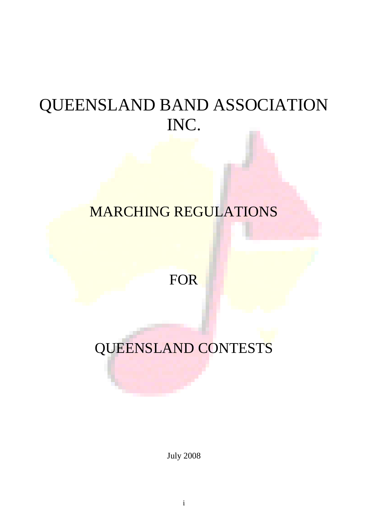# QUEENSLAND BAND ASSOCIATION INC.

## MARCHING REGULATIONS

## FOR

# QUEENSLAND CONTESTS

July 2008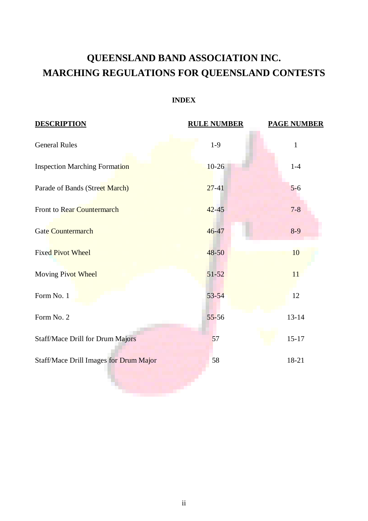### **QUEENSLAND BAND ASSOCIATION INC. MARCHING REGULATIONS FOR QUEENSLAND CONTESTS**

#### **INDEX**

| <b>DESCRIPTION</b>                      | <b>RULE NUMBER</b> | <b>PAGE NUMBER</b> |
|-----------------------------------------|--------------------|--------------------|
| <b>General Rules</b>                    | $1-9$              | $\mathbf{1}$       |
| <b>Inspection Marching Formation</b>    | $10-26$            | $1-4$              |
| Parade of Bands (Street March)          | $27-41$            | $5-6$              |
| <b>Front to Rear Countermarch</b>       | $42 - 45$          | $7 - 8$            |
| <b>Gate Countermarch</b>                | $46 - 47$          | $8-9$              |
| <b>Fixed Pivot Wheel</b>                | $48 - 50$          | 10                 |
| Moving Pivot Wheel                      | $51 - 52$          | 11                 |
| Form No. 1                              | $53 - 54$          | 12                 |
| Form No. 2                              | $55 - 56$          | $13 - 14$          |
| <b>Staff/Mace Drill for Drum Majors</b> | 57                 | $15 - 17$          |
| Staff/Mace Drill Images for Drum Major  | 58                 | 18-21              |
|                                         |                    |                    |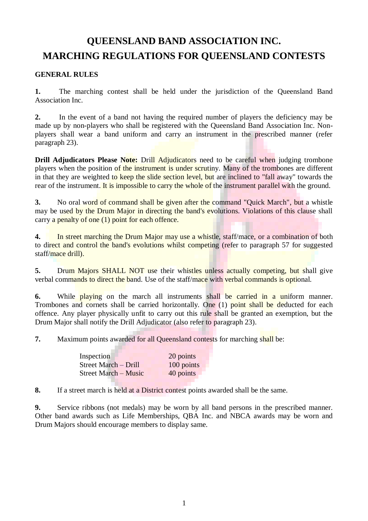### **QUEENSLAND BAND ASSOCIATION INC. MARCHING REGULATIONS FOR QUEENSLAND CONTESTS**

#### **GENERAL RULES**

**1.** The marching contest shall be held under the jurisdiction of the Queensland Band Association Inc.

**2.** In the event of a band not having the required number of players the deficiency may be made up by non-players who shall be registered with the Queensland Band Association Inc. Nonplayers shall wear a band uniform and carry an instrument in the prescribed manner (refer paragraph 23).

**Drill Adjudicators Please Note:** Drill Adjudicators need to be careful when judging trombone players when the position of the instrument is under scrutiny. Many of the trombones are different in that they are weighted to keep the slide section level, but are inclined to "fall away" towards the rear of the instrument. It is impossible to carry the whole of the instrument parallel with the ground.

**3.** No oral word of command shall be given after the command "Quick March", but a whistle may be used by the Drum Major in directing the band's evolutions. Violations of this clause shall carry a penalty of one (1) point for each offence.

**4.** In street marching the Drum Major may use a whistle, staff/mace, or a combination of both to direct and control the band's evolutions whilst competing (refer to paragraph 57 for suggested staff/mace drill).

**5.** Drum Majors SHALL NOT use their whistles unless actually competing, but shall give verbal commands to direct the band. Use of the staff/mace with verbal commands is optional.

**6.** While playing on the march all instruments shall be carried in a uniform manner. Trombones and cornets shall be carried horizontally. One (1) point shall be deducted for each offence. Any player physically unfit to carry out this rule shall be granted an exemption, but the Drum Major shall notify the Drill Adjudicator (also refer to paragraph 23).

**7.** Maximum points awarded for all Queensland contests for marching shall be:

| Inspection                  | 20 points  |
|-----------------------------|------------|
| Street March - Drill        | 100 points |
| <b>Street March – Music</b> | 40 points  |

**8.** If a street march is held at a District contest points awarded shall be the same.

**9.** Service ribbons (not medals) may be worn by all band persons in the prescribed manner. Other band awards such as Life Memberships, QBA Inc. and NBCA awards may be worn and Drum Majors should encourage members to display same.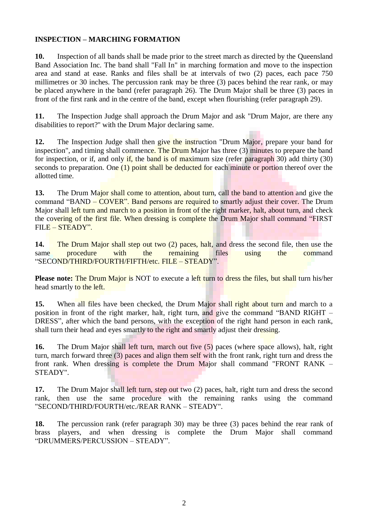#### **INSPECTION – MARCHING FORMATION**

**10.** Inspection of all bands shall be made prior to the street march as directed by the Queensland Band Association Inc. The band shall "Fall In" in marching formation and move to the inspection area and stand at ease. Ranks and files shall be at intervals of two (2) paces, each pace 750 millimetres or 30 inches. The percussion rank may be three (3) paces behind the rear rank, or may be placed anywhere in the band (refer paragraph 26). The Drum Major shall be three (3) paces in front of the first rank and in the centre of the band, except when flourishing (refer paragraph 29).

**11.** The Inspection Judge shall approach the Drum Major and ask "Drum Major, are there any disabilities to report?" with the Drum Major declaring same.

12. The Inspection Judge shall then give the instruction "Drum Major, prepare your band for inspection", and timing shall commence. The Drum Major has three (3) minutes to prepare the band for inspection, or if, and only if, the band is of maximum size (refer paragraph 30) add thirty  $(30)$ seconds to preparation. One  $(1)$  point shall be deducted for each minute or portion thereof over the allotted time.

**13.** The Drum Major shall come to attention, about turn, call the band to attention and give the command "BAND – COVER". Band persons are required to smartly adjust their cover. The Drum Major shall left turn and march to a position in front of the right marker, halt, about turn, and check the covering of the first file. When dressing is complete the Drum Major shall command "FIRST FILE – STEADY".

**14.** The Drum Major shall step out two (2) paces, halt, and dress the second file, then use the same procedure with the remaining files using the command same procedure with the remaining files using the command "SECOND/THIRD/FOURTH/FIFTH/etc. FILE – STEADY".

**Please note:** The Drum Major is NOT to execute a left turn to dress the files, but shall turn his/her head smartly to the left.

**15.** When all files have been checked, the Drum Major shall right about turn and march to a position in front of the right marker, halt, right turn, and give the command "BAND RIGHT – DRESS", after which the band persons, with the exception of the right hand person in each rank, shall turn their head and eyes smartly to the right and smartly adjust their dressing.

**16.** The Drum Major shall left turn, march out five (5) paces (where space allows), halt, right turn, march forward three (3) paces and align them self with the front rank, right turn and dress the front rank. When dressing is complete the Drum Major shall command "FRONT RANK – STEADY".

**17.** The Drum Major shall left turn, step out two (2) paces, halt, right turn and dress the second rank, then use the same procedure with the remaining ranks using the command "SECOND/THIRD/FOURTH/etc./REAR RANK – STEADY".

**18.** The percussion rank (refer paragraph 30) may be three (3) paces behind the rear rank of brass players, and when dressing is complete the Drum Major shall command "DRUMMERS/PERCUSSION – STEADY".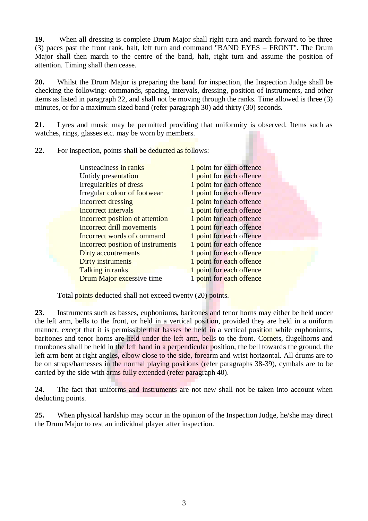**19.** When all dressing is complete Drum Major shall right turn and march forward to be three (3) paces past the front rank, halt, left turn and command "BAND EYES – FRONT". The Drum Major shall then march to the centre of the band, halt, right turn and assume the position of attention. Timing shall then cease.

**20.** Whilst the Drum Major is preparing the band for inspection, the Inspection Judge shall be checking the following: commands, spacing, intervals, dressing, position of instruments, and other items as listed in paragraph 22, and shall not be moving through the ranks. Time allowed is three (3) minutes, or for a maximum sized band (refer paragraph 30) add thirty (30) seconds.

**21.** Lyres and music may be permitted providing that uniformity is observed. Items such as watches, rings, glasses etc. may be worn by members.

**22.** For inspection, points shall be deducted as follows:

| Unsteadiness in ranks             | 1 point for each offence |
|-----------------------------------|--------------------------|
| Untidy presentation               | 1 point for each offence |
| Irregularities of dress           | 1 point for each offence |
| Irregular colour of footwear      | 1 point for each offence |
| <b>Incorrect dressing</b>         | 1 point for each offence |
| Incorrect intervals               | 1 point for each offence |
| Incorrect position of attention   | 1 point for each offence |
| Incorrect drill movements         | 1 point for each offence |
| Incorrect words of command        | 1 point for each offence |
| Incorrect position of instruments | 1 point for each offence |
| Dirty accoutrements               | 1 point for each offence |
| Dirty instruments                 | 1 point for each offence |
| Talking in ranks                  | 1 point for each offence |
| Drum Major excessive time         | 1 point for each offence |
|                                   |                          |

Total points deducted shall not exceed twenty (20) points.

**23.** Instruments such as basses, euphoniums, baritones and tenor horns may either be held under the left arm, bells to the front, or held in a vertical position, provided they are held in a uniform manner, except that it is permissible that basses be held in a vertical position while euphoniums, baritones and tenor horns are held under the left arm, bells to the front. Cornets, flugelhorns and trombones shall be held in the left hand in a perpendicular position, the bell towards the ground, the left arm bent at right angles, elbow close to the side, forearm and wrist horizontal. All drums are to be on straps/harnesses in the normal playing positions (refer paragraphs 38-39), cymbals are to be carried by the side with arms fully extended (refer paragraph 40).

**24.** The fact that uniforms and instruments are not new shall not be taken into account when deducting points.

**25.** When physical hardship may occur in the opinion of the Inspection Judge, he/she may direct the Drum Major to rest an individual player after inspection.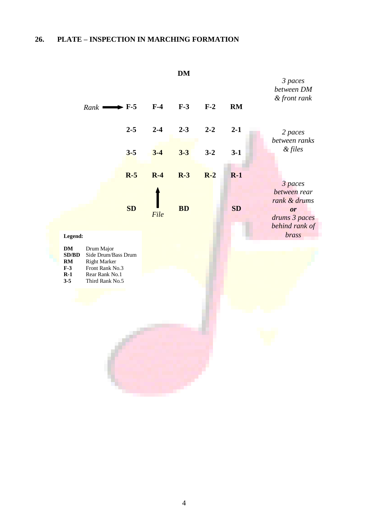#### **26. PLATE – INSPECTION IN MARCHING FORMATION**

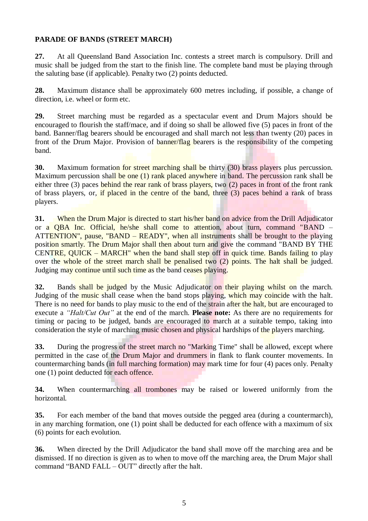#### **PARADE OF BANDS (STREET MARCH)**

**27.** At all Queensland Band Association Inc. contests a street march is compulsory. Drill and music shall be judged from the start to the finish line. The complete band must be playing through the saluting base (if applicable). Penalty two (2) points deducted.

**28.** Maximum distance shall be approximately 600 metres including, if possible, a change of direction, i.e. wheel or form etc.

**29.** Street marching must be regarded as a spectacular event and Drum Majors should be encouraged to flourish the staff/mace, and if doing so shall be allowed five (5) paces in front of the band. Banner/flag bearers should be encouraged and shall march not less than twenty (20) paces in front of the Drum Major. Provision of banner/flag bearers is the responsibility of the competing band.

**30.** Maximum formation for street marching shall be thirty (30) brass players plus percussion. Maximum percussion shall be one (1) rank placed anywhere in band. The percussion rank shall be either three (3) paces behind the rear rank of brass players, two (2) paces in front of the front rank of brass players, or, if placed in the centre of the band, three (3) paces behind a rank of brass players.

**31.** When the Drum Major is directed to start his/her band on advice from the Drill Adjudicator or a QBA Inc. Official, he/she shall come to attention, about turn, command "BAND – ATTENTION", pause, "BAND – READY", when all instruments shall be brought to the playing position smartly. The Drum Major shall then about turn and give the command "BAND BY THE CENTRE, QUICK – MARCH" when the band shall step off in quick time. Bands failing to play over the whole of the street march shall be penalised two (2) points. The halt shall be judged. Judging may continue until such time as the band ceases playing.

**32.** Bands shall be judged by the Music Adjudicator on their playing whilst on the march. Judging of the music shall cease when the band stops playing, which may coincide with the halt. There is no need for bands to play music to the end of the strain after the halt, but are encouraged to execute a *"Halt/Cut Out"* at the end of the march. **Please note:** As there are no requirements for timing or pacing to be judged, bands are encouraged to march at a suitable tempo, taking into consideration the style of marching music chosen and physical hardships of the players marching.

**33.** During the progress of the street march no "Marking Time" shall be allowed, except where permitted in the case of the Drum Major and drummers in flank to flank counter movements. In countermarching bands (in full marching formation) may mark time for four (4) paces only. Penalty one (1) point deducted for each offence.

**34.** When countermarching all trombones may be raised or lowered uniformly from the horizontal.

**35.** For each member of the band that moves outside the pegged area (during a countermarch), in any marching formation, one (1) point shall be deducted for each offence with a maximum of six (6) points for each evolution.

**36.** When directed by the Drill Adjudicator the band shall move off the marching area and be dismissed. If no direction is given as to when to move off the marching area, the Drum Major shall command "BAND FALL – OUT" directly after the halt.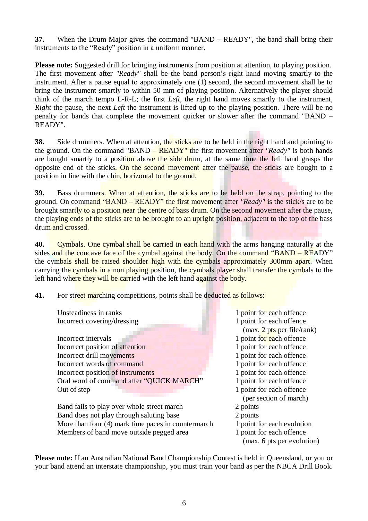**37.** When the Drum Major gives the command "BAND – READY", the band shall bring their instruments to the "Ready" position in a uniform manner.

**Please note:** Suggested drill for bringing instruments from position at attention, to playing position. The first movement after *"Ready"* shall be the band person's right hand moving smartly to the instrument. After a pause equal to approximately one (1) second, the second movement shall be to bring the instrument smartly to within 50 mm of playing position. Alternatively the player should think of the march tempo L-R-L; the first *Left*, the right hand moves smartly to the instrument, *Right* the pause, the next *Left* the instrument is lifted up to the playing position. There will be no penalty for bands that complete the movement quicker or slower after the command "BAND – READY".

**38.** Side drummers. When at attention, the sticks are to be held in the right hand and pointing to the ground. On the command "BAND – READY" the first movement after *"Ready"* is both hands are bought smartly to a position above the side drum, at the same time the left hand grasps the opposite end of the sticks. On the second movement after the pause, the sticks are bought to a position in line with the chin, horizontal to the ground.

**39.** Bass drummers. When at attention, the sticks are to be held on the strap, pointing to the ground. On command "BAND – READY" the first movement after *"Ready"* is the stick/s are to be brought smartly to a position near the centre of bass drum. On the second movement after the pause, the playing ends of the sticks are to be brought to an upright position, adjacent to the top of the bass drum and crossed.

**40.** Cymbals. One cymbal shall be carried in each hand with the arms hanging naturally at the sides and the concave face of the cymbal against the body. On the command "BAND – READY" the cymbals shall be raised shoulder high with the cymbals approximately 300mm apart. When carrying the cymbals in a non playing position, the cymbals player shall transfer the cymbals to the left hand where they will be carried with the left hand against the body.

**41.** For street marching competitions, points shall be deducted as follows:

| Unsteadiness in ranks                              | 1 point for each offence                               |
|----------------------------------------------------|--------------------------------------------------------|
| Incorrect covering/dressing                        | 1 point for each offence                               |
|                                                    | (max. 2 pts per file/rank)                             |
| Incorrect intervals                                | 1 point for each offence                               |
| Incorrect position of attention                    | 1 point for each offence                               |
| Incorrect drill movements                          | 1 point for each offence                               |
| Incorrect words of command                         | 1 point for each offence                               |
| Incorrect position of instruments                  | 1 point for each offence                               |
| Oral word of command after "QUICK MARCH"           | 1 point for each offence                               |
| Out of step                                        | 1 point for each offence                               |
|                                                    | (per section of march)                                 |
| Band fails to play over whole street march         | 2 points                                               |
| Band does not play through saluting base           | 2 points                                               |
| More than four (4) mark time paces in countermarch | 1 point for each evolution                             |
| Members of band move outside pegged area           | 1 point for each offence<br>(max. 6 pts per evolution) |
|                                                    |                                                        |

**Please note:** If an Australian National Band Championship Contest is held in Queensland, or you or your band attend an interstate championship, you must train your band as per the NBCA Drill Book.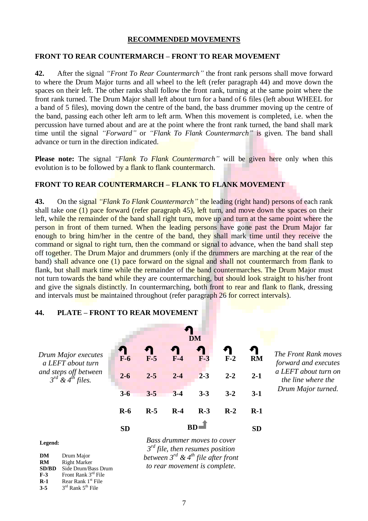#### **RECOMMENDED MOVEMENTS**

#### **FRONT TO REAR COUNTERMARCH – FRONT TO REAR MOVEMENT**

**42.** After the signal *"Front To Rear Countermarch"* the front rank persons shall move forward to where the Drum Major turns and all wheel to the left (refer paragraph 44) and move down the spaces on their left. The other ranks shall follow the front rank, turning at the same point where the front rank turned. The Drum Major shall left about turn for a band of 6 files (left about WHEEL for a band of 5 files), moving down the centre of the band, the bass drummer moving up the centre of the band, passing each other left arm to left arm. When this movement is completed, i.e. when the percussion have turned about and are at the point where the front rank turned, the band shall mark time until the signal *"Forward"* or *"Flank To Flank Countermarch"* is given. The band shall advance or turn in the direction indicated.

**Please note:** The signal *"Flank To Flank Countermarch"* will be given here only when this evolution is to be followed by a flank to flank countermarch.

#### **FRONT TO REAR COUNTERMARCH – FLANK TO FLANK MOVEMENT**

**43.** On the signal *"Flank To Flank Countermarch"* the leading (right hand) persons of each rank shall take one  $(1)$  pace forward (refer paragraph 45), left turn, and move down the spaces on their left, while the remainder of the band shall right turn, move up and turn at the same point where the person in front of them turned. When the leading persons have gone past the Drum Major far enough to bring him/her in the centre of the band, they shall mark time until they receive the command or signal to right turn, then the command or signal to advance, when the band shall step off together. The Drum Major and drummers (only if the drummers are marching at the rear of the band) shall advance one (1) pace forward on the signal and shall not countermarch from flank to flank, but shall mark time while the remainder of the band countermarches. The Drum Major must not turn towards the band while they are countermarching, but should look straight to his/her front and give the signals distinctly. In countermarching, both front to rear and flank to flank, dressing and intervals must be maintained throughout (refer paragraph 26 for correct intervals).

#### **DM** Л *Drum Major executes*  **F-6 F-5 F-4 F-3 F-2 RM** *a LEFT about turn and steps off between* **2-6 2-5 2-4 2-3 2-2 2-1** *3 rd & 4th files.* **3-6 3-5 3-4 3-3 3-2 3-1 R-6 R-5 R-4 R-3 R-2 R-1 SD SD BD**

**44. PLATE – FRONT TO REAR MOVEMENT**

*The Front Rank moves forward and executes a LEFT about turn on the line where the Drum Major turned.*

**Legend:**

| DM           | Drum Major                                |
|--------------|-------------------------------------------|
| RM           | <b>Right Marker</b>                       |
| <b>SD/BD</b> | Side Drum/Bass Drum                       |
| $F-3$        | Front Rank 3rd File                       |
| $R-1$        | Rear Rank 1 <sup>st</sup> File            |
| $3 - 5$      | $3^{\text{rd}}$ Rank $5^{\text{th}}$ File |

7

*Bass drummer moves to cover 3 rd file, then resumes position between 3rd & 4th file after front to rear movement is complete.*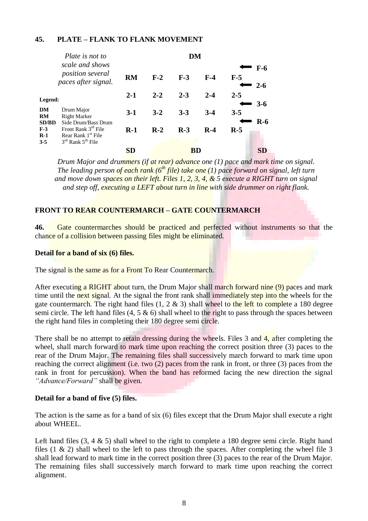#### **45. PLATE – FLANK TO FLANK MOVEMENT**

|                                 | Plate is not to                                                                            | DM        |         |         |         |         |                  |
|---------------------------------|--------------------------------------------------------------------------------------------|-----------|---------|---------|---------|---------|------------------|
|                                 | scale and shows<br>position several<br>paces after signal.                                 | <b>RM</b> | $F-2$   | $F-3$   | $F-4$   | $F-5$   | $F-6$<br>$2 - 6$ |
| Legend:                         |                                                                                            | $2 - 1$   | $2 - 2$ | $2 - 3$ | $2 - 4$ | $2 - 5$ | $3-6$            |
| DM<br><b>RM</b><br><b>SD/BD</b> | Drum Major<br><b>Right Marker</b><br>Side Drum/Bass Drum                                   | $3-1$     | $3 - 2$ | $3 - 3$ | $3-4$   | $3 - 5$ | $R-6$            |
| $F-3$<br>$R-1$<br>$3 - 5$       | Front Rank 3 <sup>rd</sup> File<br>Rear Rank 1 <sup>st</sup> File<br>$3rd$ Rank $5th$ File | $R-1$     | $R-2$   | $R-3$   | $R-4$   | $R-5$   |                  |
|                                 |                                                                                            | SD        |         | BD      |         |         |                  |

*Drum Major and drummers (if at rear) advance one (1) pace and mark time on signal. The leading person of each rank (6th file) take one (1) pace forward on signal, left turn and move down spaces on their left. Files 1, 2, 3, 4, & 5 execute a RIGHT turn on signal and step off, executing a LEFT about turn in line with side drummer on right flank.*

#### **FRONT TO REAR COUNTERMARCH – GATE COUNTERMARCH**

**46.** Gate countermarches should be practiced and perfected without instruments so that the chance of a collision between passing files might be eliminated.

#### **Detail for a band of six (6) files.**

The signal is the same as for a Front To Rear Countermarch.

After executing a RIGHT about turn, the Drum Major shall march forward nine (9) paces and mark time until the next signal. At the signal the front rank shall immediately step into the wheels for the gate countermarch. The right hand files  $(1, 2 \& 3)$  shall wheel to the left to complete a 180 degree semi circle. The left hand files  $(4, 5 \& 6)$  shall wheel to the right to pass through the spaces between the right hand files in completing their 180 degree semi circle.

There shall be no attempt to retain dressing during the wheels. Files 3 and 4, after completing the wheel, shall march forward to mark time upon reaching the correct position three (3) paces to the rear of the Drum Major. The remaining files shall successively march forward to mark time upon reaching the correct alignment (i.e. two (2) paces from the rank in front, or three (3) paces from the rank in front for percussion). When the band has reformed facing the new direction the signal *"Advance/Forward"* shall be given.

#### **Detail for a band of five (5) files.**

The action is the same as for a band of six (6) files except that the Drum Major shall execute a right about WHEEL.

Left hand files  $(3, 4 \& 5)$  shall wheel to the right to complete a 180 degree semi circle. Right hand files  $(1 \& 2)$  shall wheel to the left to pass through the spaces. After completing the wheel file 3 shall lead forward to mark time in the correct position three (3) paces to the rear of the Drum Major. The remaining files shall successively march forward to mark time upon reaching the correct alignment.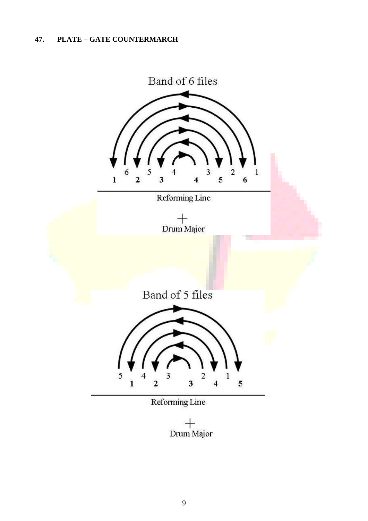#### **47. PLATE – GATE COUNTERMARCH**



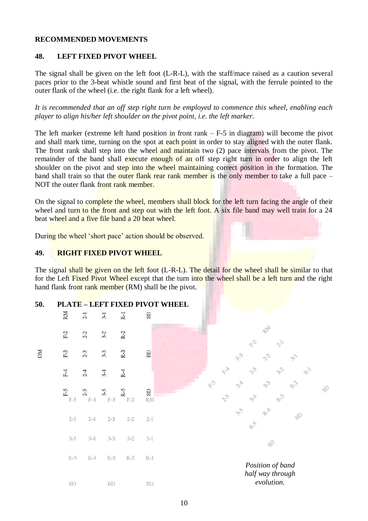#### **RECOMMENDED MOVEMENTS**

#### **48. LEFT FIXED PIVOT WHEEL**

The signal shall be given on the left foot (L-R-L), with the staff/mace raised as a caution several paces prior to the 3-beat whistle sound and first beat of the signal, with the ferrule pointed to the outer flank of the wheel (i.e. the right flank for a left wheel).

*It is recommended that an off step right turn be employed to commence this wheel, enabling each player to align his/her left shoulder on the pivot point, i.e. the left marker.*

The left marker (extreme left hand position in front rank  $-F-5$  in diagram) will become the pivot and shall mark time, turning on the spot at each point in order to stay aligned with the outer flank. The front rank shall step into the wheel and maintain two (2) pace intervals from the pivot. The remainder of the band shall execute enough of an off step right turn in order to align the left shoulder on the pivot and step into the wheel maintaining correct position in the formation. The band shall train so that the outer flank rear rank member is the only member to take a full pace – NOT the outer flank front rank member.

On the signal to complete the wheel, members shall block for the left turn facing the angle of their wheel and turn to the front and step out with the left foot. A six file band may well train for a 24 beat wheel and a five file band a 20 beat wheel.

During the wheel 'short pace' action should be observed.

#### **49. RIGHT FIXED PIVOT WHEEL**

The signal shall be given on the left foot (L-R-L). The detail for the wheel shall be similar to that for the Left Fixed Pivot Wheel except that the turn into the wheel shall be a left turn and the right hand flank front rank member (RM) shall be the pivot.

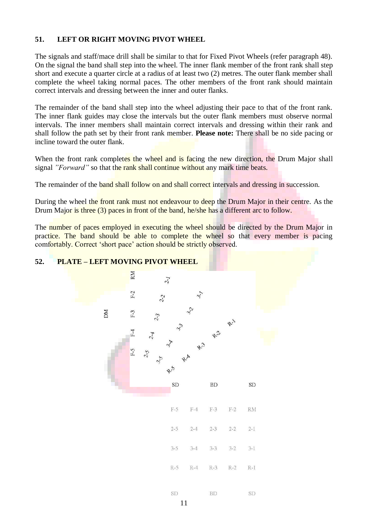#### **51. LEFT OR RIGHT MOVING PIVOT WHEEL**

The signals and staff/mace drill shall be similar to that for Fixed Pivot Wheels (refer paragraph 48). On the signal the band shall step into the wheel. The inner flank member of the front rank shall step short and execute a quarter circle at a radius of at least two (2) metres. The outer flank member shall complete the wheel taking normal paces. The other members of the front rank should maintain correct intervals and dressing between the inner and outer flanks.

The remainder of the band shall step into the wheel adjusting their pace to that of the front rank. The inner flank guides may close the intervals but the outer flank members must observe normal intervals. The inner members shall maintain correct intervals and dressing within their rank and shall follow the path set by their front rank member. **Please note:** There shall be no side pacing or incline toward the outer flank.

When the front rank completes the wheel and is facing the new direction, the Drum Major shall signal *"Forward*" so that the rank shall continue without any mark time beats.

The remainder of the band shall follow on and shall correct intervals and dressing in succession.

During the wheel the front rank must not endeavour to deep the Drum Major in their centre. As the Drum Major is three (3) paces in front of the band, he/she has a different arc to follow.

The number of paces employed in executing the wheel should be directed by the Drum Major in practice. The band should be able to complete the wheel so that every member is pacing comfortably. Correct "short pace" action should be strictly observed.



#### **52. PLATE – LEFT MOVING PIVOT WHEEL**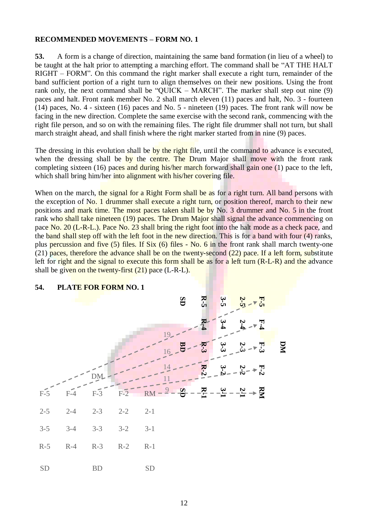#### **RECOMMENDED MOVEMENTS – FORM NO. 1**

**53.** A form is a change of direction, maintaining the same band formation (in lieu of a wheel) to be taught at the halt prior to attempting a marching effort. The command shall be "AT THE HALT RIGHT – FORM". On this command the right marker shall execute a right turn, remainder of the band sufficient portion of a right turn to align themselves on their new positions. Using the front rank only, the next command shall be "QUICK – MARCH". The marker shall step out nine (9) paces and halt. Front rank member No. 2 shall march eleven (11) paces and halt, No. 3 - fourteen (14) paces, No. 4 - sixteen (16) paces and No. 5 - nineteen (19) paces. The front rank will now be facing in the new direction. Complete the same exercise with the second rank, commencing with the right file person, and so on with the remaining files. The right file drummer shall not turn, but shall march straight ahead, and shall finish where the right marker started from in nine (9) paces.

The dressing in this evolution shall be by the right file, until the command to advance is executed, when the dressing shall be by the centre. The Drum Major shall move with the front rank completing sixteen (16) paces and during his/her march forward shall gain one (1) pace to the left, which shall bring him/her into alignment with his/her covering file.

When on the march, the signal for a Right Form shall be as for a right turn. All band persons with the exception of No. 1 drummer shall execute a right turn, or position thereof, march to their new positions and mark time. The most paces taken shall be by No. 3 drummer and No. 5 in the front rank who shall take nineteen (19) paces. The Drum Major shall signal the advance commencing on pace No. 20 (L-R-L.). Pace No. 23 shall bring the right foot into the halt mode as a check pace, and the band shall step off with the left foot in the new direction. This is for a band with four (4) ranks, plus percussion and five (5) files. If Six (6) files - No. 6 in the front rank shall march twenty-one (21) paces, therefore the advance shall be on the twenty-second (22) pace. If a left form, substitute left for right and the signal to execute this form shall be as for a left turn (R-L-R) and the advance shall be given on the twenty-first  $(21)$  pace  $(L-R-L)$ .



#### **54. PLATE FOR FORM NO. 1**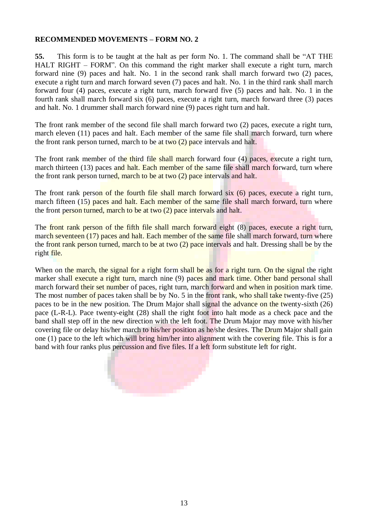#### **RECOMMENDED MOVEMENTS – FORM NO. 2**

**55.** This form is to be taught at the halt as per form No. 1. The command shall be "AT THE HALT RIGHT – FORM". On this command the right marker shall execute a right turn, march forward nine (9) paces and halt. No. 1 in the second rank shall march forward two (2) paces, execute a right turn and march forward seven (7) paces and halt. No. 1 in the third rank shall march forward four (4) paces, execute a right turn, march forward five (5) paces and halt. No. 1 in the fourth rank shall march forward six (6) paces, execute a right turn, march forward three (3) paces and halt. No. 1 drummer shall march forward nine (9) paces right turn and halt.

The front rank member of the second file shall march forward two (2) paces, execute a right turn, march eleven (11) paces and halt. Each member of the same file shall march forward, turn where the front rank person turned, march to be at two  $(2)$  pace intervals and halt.

The front rank member of the third file shall march forward four (4) paces, execute a right turn, march thirteen (13) paces and halt. Each member of the same file shall march forward, turn where the front rank person turned, march to be at two (2) pace intervals and halt.

The front rank person of the fourth file shall march forward six (6) paces, execute a right turn, march fifteen (15) paces and halt. Each member of the same file shall march forward, turn where the front person turned, march to be at two (2) pace intervals and halt.

The front rank person of the fifth file shall march forward eight (8) paces, execute a right turn, march seventeen (17) paces and halt. Each member of the same file shall march forward, turn where the front rank person turned, march to be at two (2) pace intervals and halt. Dressing shall be by the right file.

When on the march, the signal for a right form shall be as for a right turn. On the signal the right marker shall execute a right turn, march nine (9) paces and mark time. Other band personal shall march forward their set number of paces, right turn, march forward and when in position mark time. The most number of paces taken shall be by No. 5 in the front rank, who shall take twenty-five (25) paces to be in the new position. The Drum Major shall signal the advance on the twenty-sixth (26) pace (L-R-L). Pace twenty-eight (28) shall the right foot into halt mode as a check pace and the band shall step off in the new direction with the left foot. The Drum Major may move with his/her covering file or delay his/her march to his/her position as he/she desires. The Drum Major shall gain one (1) pace to the left which will bring him/her into alignment with the covering file. This is for a band with four ranks plus percussion and five files. If a left form substitute left for right.

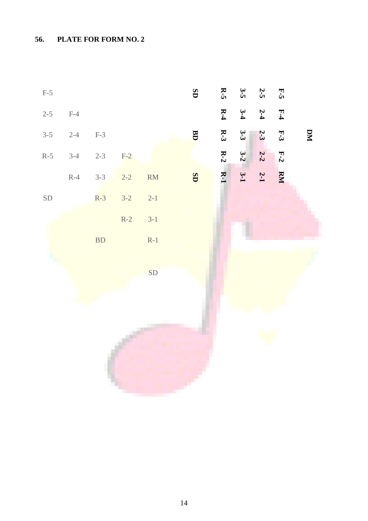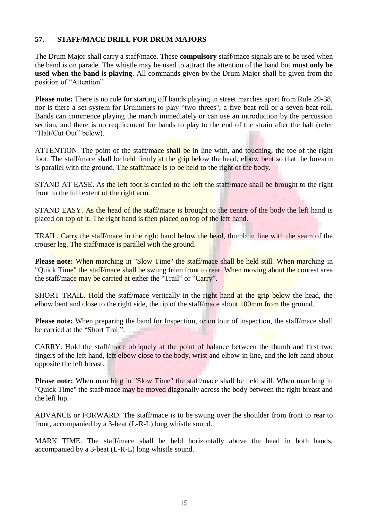#### **57. STAFF/MACE DRILL FOR DRUM MAJORS**

The Drum Major shall carry a staff/mace. These **compulsory** staff/mace signals are to be used when the band is on parade. The whistle may be used to attract the attention of the band but **must only be used when the band is playing**. All commands given by the Drum Major shall be given from the position of "Attention".

**Please note:** There is no rule for starting off bands playing in street marches apart from Rule 29-38, nor is there a set system for Drummers to play "two threes", a five beat roll or a seven beat roll. Bands can commence playing the march immediately or can use an introduction by the percussion section, and there is no requirement for bands to play to the end of the strain after the halt (refer "Halt/Cut Out" below).

ATTENTION. The point of the staff/mace shall be in line with, and touching, the toe of the right foot. The staff/mace shall be held firmly at the grip below the head, elbow bent so that the forearm is parallel with the ground. The staff/mace is to be held to the right of the body.

STAND AT EASE. As the left foot is carried to the left the staff/mace shall be brought to the right front to the full extent of the right arm.

STAND EASY. As the head of the staff/mace is brought to the centre of the body the left hand is placed on top of it. The right hand is then placed on top of the left hand.

TRAIL. Carry the staff/mace in the right hand below the head, thumb in line with the seam of the trouser leg. The staff/mace is parallel with the ground.

**Please note:** When marching in "Slow Time" the staff/mace shall be held still. When marching in "Quick Time" the staff/mace shall be swung from front to rear. When moving about the contest area the staff/mace may be carried at either the "Trail" or "Carry".

SHORT TRAIL. Hold the staff/mace vertically in the right hand at the grip below the head, the elbow bent and close to the right side, the tip of the staff/mace about 100mm from the ground.

**Please note:** When preparing the band for Inspection, or on tour of inspection, the staff/mace shall be carried at the "Short Trail".

CARRY. Hold the staff/mace obliquely at the point of balance between the thumb and first two fingers of the left hand, left elbow close to the body, wrist and elbow in line, and the left hand about opposite the left breast.

**Please note:** When marching in "Slow Time" the staff/mace shall be held still. When marching in "Quick Time" the staff/mace may be moved diagonally across the body between the right breast and the left hip.

ADVANCE or FORWARD. The staff/mace is to be swung over the shoulder from front to rear to front, accompanied by a 3-beat (L-R-L) long whistle sound.

MARK TIME. The staff/mace shall be held horizontally above the head in both hands, accompanied by a 3-beat (L-R-L) long whistle sound.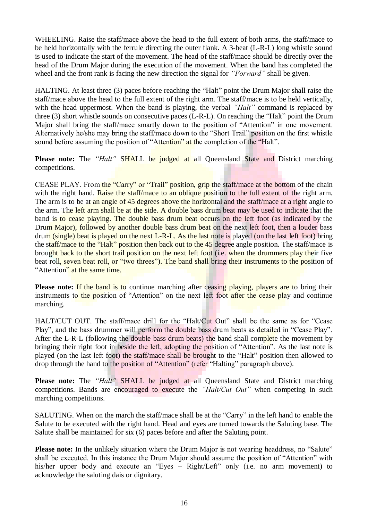WHEELING. Raise the staff/mace above the head to the full extent of both arms, the staff/mace to be held horizontally with the ferrule directing the outer flank. A 3-beat (L-R-L) long whistle sound is used to indicate the start of the movement. The head of the staff/mace should be directly over the head of the Drum Major during the execution of the movement. When the band has completed the wheel and the front rank is facing the new direction the signal for *"Forward"* shall be given.

HALTING. At least three (3) paces before reaching the "Halt" point the Drum Major shall raise the staff/mace above the head to the full extent of the right arm. The staff/mace is to be held vertically, with the head uppermost. When the band is playing, the verbal *"Halt"* command is replaced by three (3) short whistle sounds on consecutive paces (L-R-L). On reaching the "Halt" point the Drum Major shall bring the staff/mace smartly down to the position of "Attention" in one movement. Alternatively he/she may bring the staff/mace down to the "Short Trail" position on the first whistle sound before assuming the position of "Attention" at the completion of the "Halt".

**Please note:** The *"Halt"* SHALL be judged at all Queensland State and District marching competitions.

CEASE PLAY. From the "Carry" or "Trail" position, grip the staff/mace at the bottom of the chain with the right hand. Raise the staff/mace to an oblique position to the full extent of the right arm. The arm is to be at an angle of 45 degrees above the horizontal and the staff/mace at a right angle to the arm. The left arm shall be at the side. A double bass drum beat may be used to indicate that the band is to cease playing. The double bass drum beat occurs on the left foot (as indicated by the Drum Major), followed by another double bass drum beat on the next left foot, then a louder bass drum (single) beat is played on the next L-R-L. As the last note is played (on the last left foot) bring the staff/mace to the "Halt" position then back out to the 45 degree angle position. The staff/mace is brought back to the short trail position on the next left foot (i.e. when the drummers play their five beat roll, seven beat roll, or "two threes"). The band shall bring their instruments to the position of "Attention" at the same time.

**Please note:** If the band is to continue marching after ceasing playing, players are to bring their instruments to the position of "Attention" on the next left foot after the cease play and continue marching.

HALT/CUT OUT. The staff/mace drill for the "Halt/Cut Out" shall be the same as for "Cease Play", and the bass drummer will perform the double bass drum beats as detailed in "Cease Play". After the L-R-L (following the double bass drum beats) the band shall complete the movement by bringing their right foot in beside the left, adopting the position of "Attention". As the last note is played (on the last left foot) the staff/mace shall be brought to the "Halt" position then allowed to drop through the hand to the position of "Attention" (refer "Halting" paragraph above).

**Please note:** The *"Halt"* SHALL be judged at all Queensland State and District marching competitions. Bands are encouraged to execute the *"Halt/Cut Out"* when competing in such marching competitions.

SALUTING. When on the march the staff/mace shall be at the "Carry" in the left hand to enable the Salute to be executed with the right hand. Head and eyes are turned towards the Saluting base. The Salute shall be maintained for six (6) paces before and after the Saluting point.

**Please note:** In the unlikely situation where the Drum Major is not wearing headdress, no "Salute" shall be executed. In this instance the Drum Major should assume the position of "Attention" with his/her upper body and execute an "Eyes – Right/Left" only (i.e. no arm movement) to acknowledge the saluting dais or dignitary.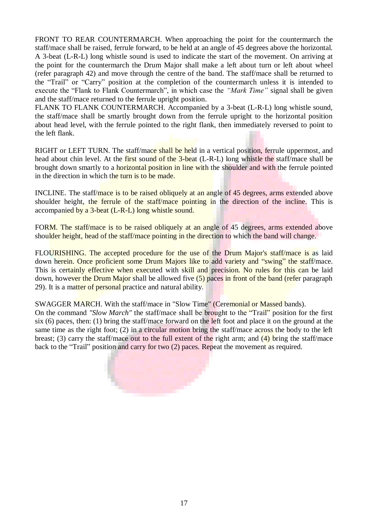FRONT TO REAR COUNTERMARCH. When approaching the point for the countermarch the staff/mace shall be raised, ferrule forward, to be held at an angle of 45 degrees above the horizontal. A 3-beat (L-R-L) long whistle sound is used to indicate the start of the movement. On arriving at the point for the countermarch the Drum Major shall make a left about turn or left about wheel (refer paragraph 42) and move through the centre of the band. The staff/mace shall be returned to the "Trail" or "Carry" position at the completion of the countermarch unless it is intended to execute the "Flank to Flank Countermarch", in which case the *"Mark Time"* signal shall be given and the staff/mace returned to the ferrule upright position.

FLANK TO FLANK COUNTERMARCH. Accompanied by a 3-beat (L-R-L) long whistle sound, the staff/mace shall be smartly brought down from the ferrule upright to the horizontal position about head level, with the ferrule pointed to the right flank, then immediately reversed to point to the left flank.

RIGHT or LEFT TURN. The staff/mace shall be held in a vertical position, ferrule uppermost, and head about chin level. At the first sound of the 3-beat (L-R-L) long whistle the staff/mace shall be brought down smartly to a horizontal position in line with the shoulder and with the ferrule pointed in the direction in which the turn is to be made.

INCLINE. The staff/mace is to be raised obliquely at an angle of 45 degrees, arms extended above shoulder height, the ferrule of the staff/mace pointing in the direction of the incline. This is accompanied by a 3-beat (L-R-L) long whistle sound.

FORM. The staff/mace is to be raised obliquely at an angle of 45 degrees, arms extended above shoulder height, head of the staff/mace pointing in the direction to which the band will change.

FLOURISHING. The accepted procedure for the use of the Drum Major's staff/mace is as laid down herein. Once proficient some Drum Majors like to add variety and "swing" the staff/mace. This is certainly effective when executed with skill and precision. No rules for this can be laid down, however the Drum Major shall be allowed five (5) paces in front of the band (refer paragraph 29). It is a matter of personal practice and natural ability.

SWAGGER MARCH. With the staff/mace in "Slow Time" (Ceremonial or Massed bands). On the command *"Slow March"* the staff/mace shall be brought to the "Trail" position for the first six (6) paces, then: (1) bring the staff/mace forward on the left foot and place it on the ground at the same time as the right foot; (2) in a circular motion bring the staff/mace across the body to the left breast; (3) carry the staff/mace out to the full extent of the right arm; and  $(4)$  bring the staff/mace



back to the "Trail" position and carry for two (2) paces. Repeat the movement as required.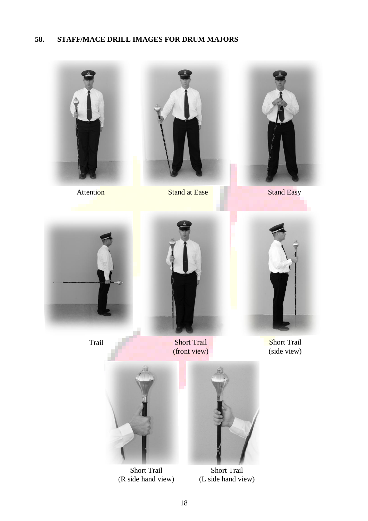#### **58. STAFF/MACE DRILL IMAGES FOR DRUM MAJORS**





Attention Stand at Ease Stand Easy





Trail



Short Trail (front view)



**Short Trail** (side view)



Short Trail (R side hand view)



Short Trail (L side hand view)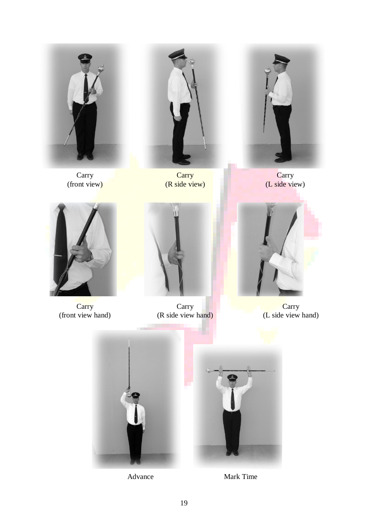

Carry (front view)

**Carry** (R side view)

**Carry** (L side view)



Carry (front view hand)



Carry (R side view hand)



**Carry** (L side view hand)

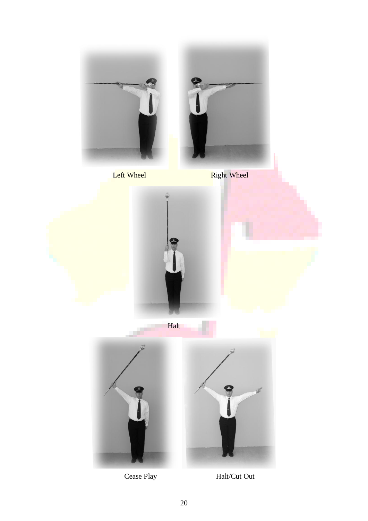

Cease Play Halt/Cut Out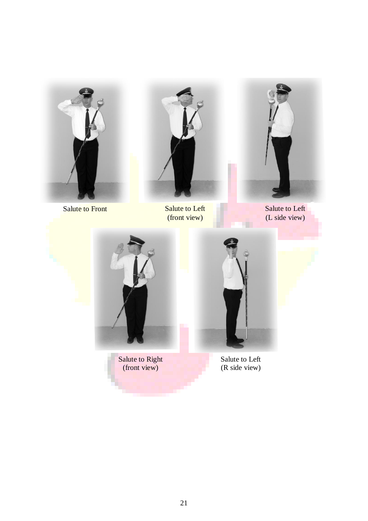

Salute to Front Salute to Left



(front view)



Salute to Left (L side view)



Salute to Right (front view)



Salute to Left (R side view)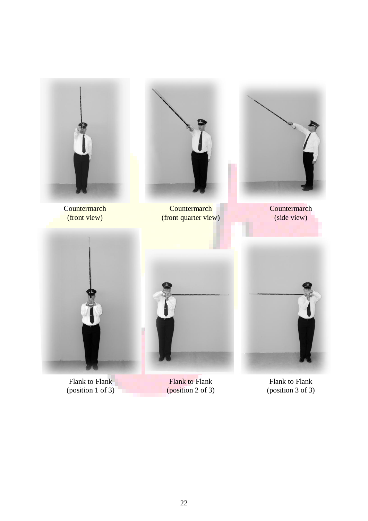

Flank to Flank (position 1 of 3)

Flank to Flank (position 2 of 3)

Flank to Flank (position 3 of 3)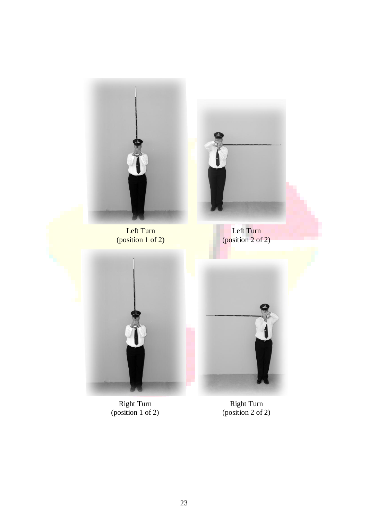

Right Turn (position 1 of 2)

Right Turn (position 2 of 2)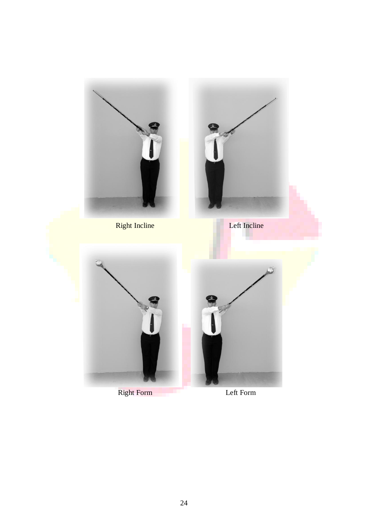